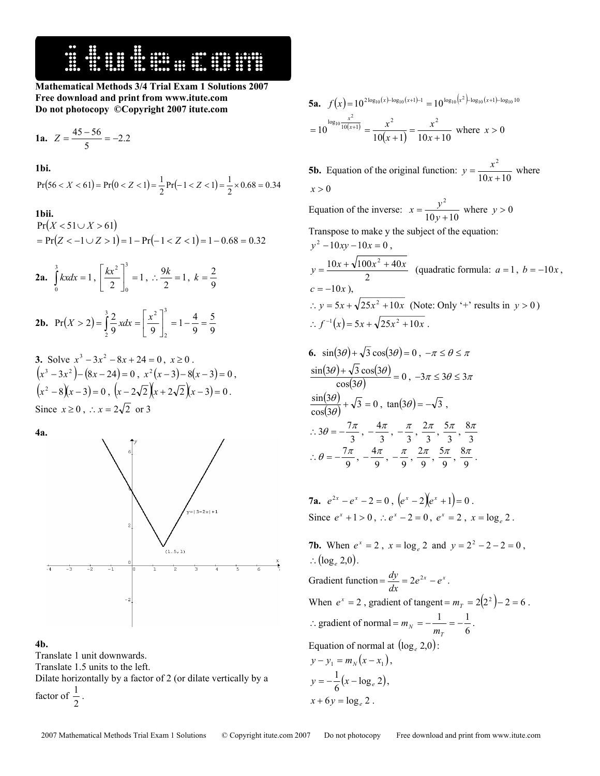

**Mathematical Methods 3/4 Trial Exam 1 Solutions 2007 Free download and print from www.itute.com Do not photocopy ©Copyright 2007 itute.com**

1a. 
$$
Z = \frac{45 - 56}{5} = -2.2
$$

**1bi.** 

$$
Pr(56 < X < 61) = Pr(0 < Z < 1) = \frac{1}{2}Pr(-1 < Z < 1) = \frac{1}{2} \times 0.68 = 0.34
$$

## **1bii.**

 $Pr(X < 51 \cup X > 61)$  $= Pr(Z < -1 \cup Z > 1) = 1 - Pr(-1 < Z < 1) = 1 - 0.68 = 0.32$ 

**2a.** 
$$
\int_{0}^{3} kx dx = 1, \left[\frac{kx^{2}}{2}\right]_{0}^{3} = 1, \therefore \frac{9k}{2} = 1, k = \frac{2}{9}
$$

**2b.** 
$$
Pr(X > 2) = \int_{2}^{3} \frac{2}{9} x dx = \left[ \frac{x^{2}}{9} \right]_{2}^{3} = 1 - \frac{4}{9} = \frac{5}{9}
$$

3. Solve 
$$
x^3 - 3x^2 - 8x + 24 = 0
$$
,  $x \ge 0$ .  
\n $(x^3 - 3x^2) - (8x - 24) = 0$ ,  $x^2(x - 3) - 8(x - 3) = 0$ ,  
\n $(x^2 - 8)(x - 3) = 0$ ,  $(x - 2\sqrt{2})(x + 2\sqrt{2})(x - 3) = 0$ .  
\nSince  $x \ge 0$ ,  $\therefore x = 2\sqrt{2}$  or 3

**4a.** 



## **4b.**

Translate 1 unit downwards.

Translate 1.5 units to the left.

Dilate horizontally by a factor of 2 (or dilate vertically by a factor of  $\frac{1}{2}$ .

**5a.**  $f(x)=10^{2\log_{10}(x)-\log_{10}(x+1)-1}=10^{\log_{10}(x^2)-\log_{10}(x+1)-\log_{10}10}$  $\frac{x^2}{10(x+1)}$   $x^2$   $x^2$ 

$$
=10^{\log_{10}\frac{x^2}{10(x+1)}} = \frac{x^2}{10(x+1)} = \frac{x^2}{10x+10} \text{ where } x > 0
$$

**5b.** Equation of the original function:  $y = \frac{x^2}{10x + 10}$  where  $x > 0$ Equation of the inverse:  $x = \frac{y^2}{10y + 10}$  where  $y > 0$ Transpose to make y the subject of the equation:  $v^2 - 10xy - 10x = 0$ , 2  $y = \frac{10x + \sqrt{100x^2 + 40x}}{2}$  (quadratic formula:  $a = 1, b = -10x$ ,  $c = -10x$ ). ∴ *y* = 5*x* +  $\sqrt{25x^2 + 10x}$  (Note: Only '+' results in *y* > 0)  $f^{-1}(x) = 5x + \sqrt{25x^2 + 10x}$ .

6. 
$$
\sin(3\theta) + \sqrt{3}\cos(3\theta) = 0, -\pi \le \theta \le \pi
$$

$$
\frac{\sin(3\theta) + \sqrt{3}\cos(3\theta)}{\cos(3\theta)} = 0, -3\pi \le 3\theta \le 3\pi
$$

$$
\frac{\sin(3\theta)}{\cos(3\theta)} + \sqrt{3} = 0, \tan(3\theta) = -\sqrt{3},
$$

$$
\therefore 3\theta = -\frac{7\pi}{3}, -\frac{4\pi}{3}, -\frac{\pi}{3}, \frac{2\pi}{3}, \frac{5\pi}{3}, \frac{8\pi}{3}
$$

$$
\therefore \theta = -\frac{7\pi}{9}, -\frac{4\pi}{9}, -\frac{\pi}{9}, \frac{2\pi}{9}, \frac{5\pi}{9}, \frac{8\pi}{9}.
$$

7a. 
$$
e^{2x} - e^x - 2 = 0
$$
,  $(e^x - 2)(e^x + 1) = 0$ .  
Since  $e^x + 1 > 0$ ,  $\therefore e^x - 2 = 0$ ,  $e^x = 2$ ,  $x = \log_e 2$ .

**7b.** When  $e^x = 2$ ,  $x = \log_e 2$  and  $y = 2^2 - 2 - 2 = 0$ , ∴  $(\log_e 2,0)$ . Gradient function =  $\frac{dy}{dx} = 2e^{2x} - e^x$ . When  $e^x = 2$ , gradient of tangent =  $m_T = 2(2^2) - 2 = 6$ . ∴ gradient of normal =  $m_N = -\frac{1}{m_T} = -\frac{1}{6}$  $m_N = -\frac{1}{m_T} = -\frac{1}{6}$ . Equation of normal at  $(\log_e 2.0)$ :  $y - y_1 = m_y (x - x_1)$ ,  $\frac{1}{6}(x - \log_e 2)$  $y = -\frac{1}{6}(x - \log_e 2),$ 

$$
x+6y=\log_e 2.
$$